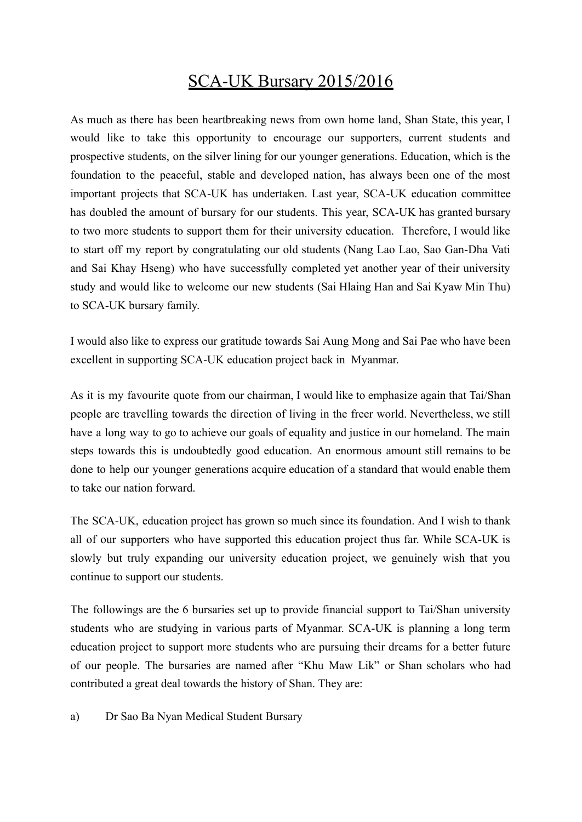## SCA-UK Bursary 2015/2016

As much as there has been heartbreaking news from own home land, Shan State, this year, I would like to take this opportunity to encourage our supporters, current students and prospective students, on the silver lining for our younger generations. Education, which is the foundation to the peaceful, stable and developed nation, has always been one of the most important projects that SCA-UK has undertaken. Last year, SCA-UK education committee has doubled the amount of bursary for our students. This year, SCA-UK has granted bursary to two more students to support them for their university education. Therefore, I would like to start off my report by congratulating our old students (Nang Lao Lao, Sao Gan-Dha Vati and Sai Khay Hseng) who have successfully completed yet another year of their university study and would like to welcome our new students (Sai Hlaing Han and Sai Kyaw Min Thu) to SCA-UK bursary family.

I would also like to express our gratitude towards Sai Aung Mong and Sai Pae who have been excellent in supporting SCA-UK education project back in Myanmar.

As it is my favourite quote from our chairman, I would like to emphasize again that Tai/Shan people are travelling towards the direction of living in the freer world. Nevertheless, we still have a long way to go to achieve our goals of equality and justice in our homeland. The main steps towards this is undoubtedly good education. An enormous amount still remains to be done to help our younger generations acquire education of a standard that would enable them to take our nation forward.

The SCA-UK, education project has grown so much since its foundation. And I wish to thank all of our supporters who have supported this education project thus far. While SCA-UK is slowly but truly expanding our university education project, we genuinely wish that you continue to support our students.

The followings are the 6 bursaries set up to provide financial support to Tai/Shan university students who are studying in various parts of Myanmar. SCA-UK is planning a long term education project to support more students who are pursuing their dreams for a better future of our people. The bursaries are named after "Khu Maw Lik" or Shan scholars who had contributed a great deal towards the history of Shan. They are:

a) Dr Sao Ba Nyan Medical Student Bursary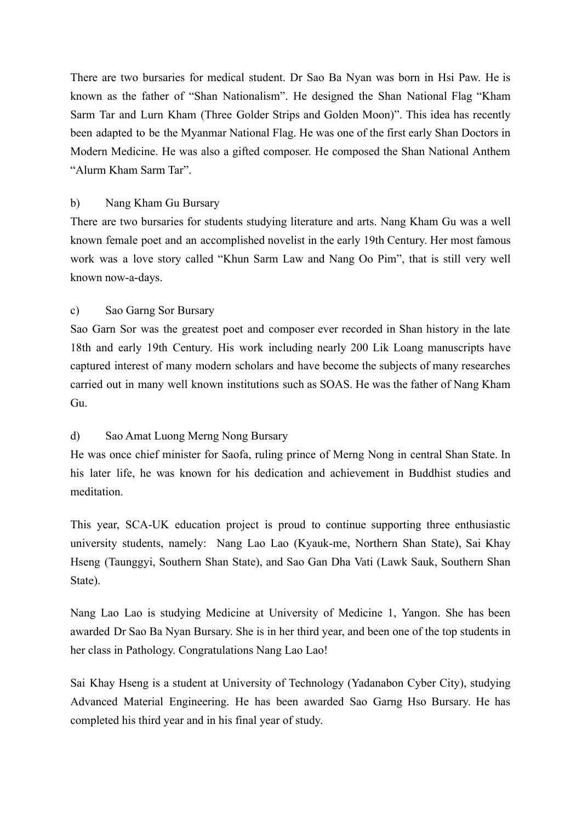There are two bursaries for medical student. Dr Sao Ba Nyan was born in Hsi Paw. He is known as the father of "Shan Nationalism". He designed the Shan National Flag "Kham Sarm Tar and Lurn Kham (Three Golder Strips and Golden Moon)". This idea has recently been adapted to be the Myanmar National Flag. He was one of the first early Shan Doctors in Modern Medicine. He was also a gifted composer. He composed the Shan National Anthem "Alurm Kham Sarm Tar".

## b) Nang Kham Gu Bursary

There are two bursaries for students studying literature and arts. Nang Kham Gu was a well known female poet and an accomplished novelist in the early 19th Century. Her most famous work was a love story called "Khun Sarm Law and Nang Oo Pim", that is still very well known now-a-days.

## c) Sao Garng Sor Bursary

Sao Garn Sor was the greatest poet and composer ever recorded in Shan history in the late 18th and early 19th Century. His work including nearly 200 Lik Loang manuscripts have captured interest of many modern scholars and have become the subjects of many researches carried out in many well known institutions such as SOAS. He was the father of Nang Kham Gu.

## d) Sao Amat Luong Merng Nong Bursary

He was once chief minister for Saofa, ruling prince of Merng Nong in central Shan State. In his later life, he was known for his dedication and achievement in Buddhist studies and meditation.

This year, SCA-UK education project is proud to continue supporting three enthusiastic university students, namely: Nang Lao Lao (Kyauk-me, Northern Shan State), Sai Khay Hseng (Taunggyi, Southern Shan State), and Sao Gan Dha Vati (Lawk Sauk, Southern Shan State).

Nang Lao Lao is studying Medicine at University of Medicine 1, Yangon. She has been awarded Dr Sao Ba Nyan Bursary. She is in her third year, and been one of the top students in her class in Pathology. Congratulations Nang Lao Lao!

Sai Khay Hseng is a student at University of Technology (Yadanabon Cyber City), studying Advanced Material Engineering. He has been awarded Sao Garng Hso Bursary. He has completed his third year and in his final year of study.